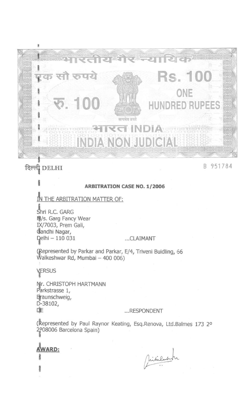

# दिल्ली DELHI

**GRID** 

B 951784

#### **ARBITRATION CASE NO. 1/2006**

### IN THE ARBITRATION MATTER OF:

Shri R.C. GARG <sup>蘭</sup>/s. Garg Fancy Wear IX/7003, Prem Gali, Candhi Nagar, Delhi - 110 031

#### ...CLAIMANT

(Represented by Parkar and Parkar, E/4, Triveni Buidling, 66 Walkeshwar Rd, Mumbai - 400 006)

VERSUS Mr. CHRISTOPH HARTMANN Parkstrasse 1, Braunschweig, D-38102, 咋

#### ...RESPONDENT

(Represented by Paul Raynor Keating, Esq.Renova, Ltd.Balmes 173 2º 208006 Barcelona Spain)

**AWARD:** 239.413

Sincentum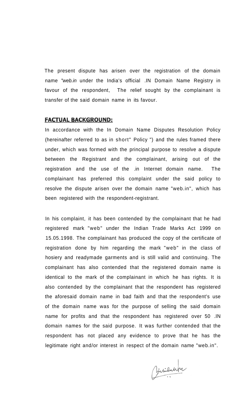The present dispute has arisen over the registration of the domain name "web.in under the India's official .IN Domain Name Registry in favour of the respondent, The relief sought by the complainant is transfer of the said domain name in its favour.

#### **FACTUAL BACKGROUND:**

In accordance with the In Domain Name Disputes Resolution Policy (hereinafter referred to as in short" Policy ") and the rules framed there under, which was formed with the principal purpose to resolve a dispute between the Registrant and the complainant, arising out of the registration and the use of the .in Internet domain name. The complainant has preferred this complaint under the said policy to resolve the dispute arisen over the domain name "web.in", which has been registered with the respondent-registrant.

In his complaint, it has been contended by the complainant that he had registered mark "web" under the Indian Trade Marks Act 1999 on 15.05.1998. The complainant has produced the copy of the certificate of registration done by him regarding the mark "web" in the class of hosiery and readymade garments and is still valid and continuing. The complainant has also contended that the registered domain name is identical to the mark of the complainant in which he has rights. It is also contended by the complainant that the respondent has registered the aforesaid domain name in bad faith and that the respondent's use of the domain name was for the purpose of selling the said domain name for profits and that the respondent has registered over 50 .IN domain names for the said purpose. It was further contended that the respondent has not placed any evidence to prove that he has the legitimate right and/or interest in respect of the domain name "web.in".

Minilarpi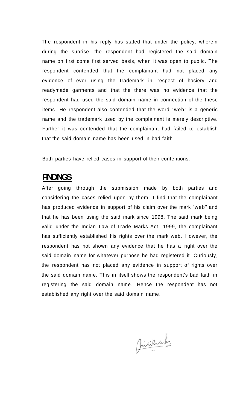The respondent in his reply has stated that under the policy, wherein during the sunrise, the respondent had registered the said domain name on first come first served basis, when it was open to public. The respondent contended that the complainant had not placed any evidence of ever using the trademark in respect of hosiery and readymade garments and that the there was no evidence that the respondent had used the said domain name in connection of the these items. He respondent also contended that the word "web" is a generic name and the trademark used by the complainant is merely descriptive. Further it was contended that the complainant had failed to establish that the said domain name has been used in bad faith.

Both parties have relied cases in support of their contentions.

## **FINDINGS**

After going through the submission made by both parties and considering the cases relied upon by them, I find that the complainant has produced evidence in support of his claim over the mark "web" and that he has been using the said mark since 1998. The said mark being valid under the Indian Law of Trade Marks Act, 1999, the complainant has sufficiently established his rights over the mark web. However, the respondent has not shown any evidence that he has a right over the said domain name for whatever purpose he had registered it. Curiously, the respondent has not placed any evidence in support of rights over the said domain name. This in itself shows the respondent's bad faith in registering the said domain name. Hence the respondent has not established any right over the said domain name.

Jindiluluti